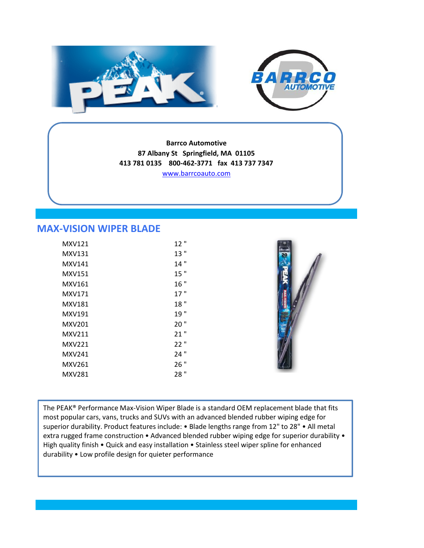



**Barrco Automotive 87 Albany St Springfield, MA 01105 413 781 0135 800-462-3771 fax 413 737 7347** [w](http://www.barrcoauto.com/)ww.barrcoauto.com

## **MAX-VISION WIPER BLADE**

| 12" |
|-----|
| 13" |
| 14" |
| 15" |
| 16" |
| 17" |
| 18" |
| 19" |
| 20" |
| 21" |
| 22" |
| 24" |
| 26" |
| 28" |
|     |



The PEAK® Performance Max-Vision Wiper Blade is a standard OEM replacement blade that fits most popular cars, vans, trucks and SUVs with an advanced blended rubber wiping edge for superior durability. Product features include: • Blade lengths range from 12" to 28" • All metal extra rugged frame construction • Advanced blended rubber wiping edge for superior durability • High quality finish • Quick and easy installation • Stainless steel wiper spline for enhanced durability • Low profile design for quieter performance